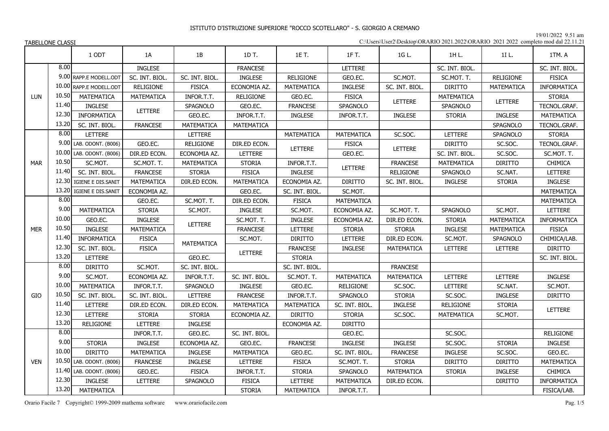19/01/2022 9.51 am

| C:\Users\User2\Desktop\ORARIO 2021.2022\ORARIO 2021 2022 completo mod dal 22.11.21 |  |
|------------------------------------------------------------------------------------|--|
|------------------------------------------------------------------------------------|--|

|            |       | 1 ODT                    | 1A                | 1B               | 1D T.            | 1E T.             | 1F T.             | 1G L.            | 1H L.             | 1I L.             | 1TM. A            |
|------------|-------|--------------------------|-------------------|------------------|------------------|-------------------|-------------------|------------------|-------------------|-------------------|-------------------|
|            | 8.00  |                          | INGLESE           |                  | <b>FRANCESE</b>  |                   | LETTERE           |                  | SC. INT. BIOL.    |                   | SC. INT. BIOL.    |
|            |       | 9.00 RAPP.E MODELL.ODT   | SC. INT. BIOL.    | SC. INT. BIOL.   | <b>INGLESE</b>   | RELIGIONE         | GEO.EC.           | SC.MOT.          | SC.MOT. T.        | <b>RELIGIONE</b>  | <b>FISICA</b>     |
|            |       | 10.00 RAPP.E MODELL.ODT  | <b>RELIGIONE</b>  | <b>FISICA</b>    | ECONOMIA AZ.     | MATEMATICA        | INGLESE           | SC. INT. BIOL.   | <b>DIRITTO</b>    | MATEMATICA        | INFORMATICA       |
| <b>LUN</b> | 10.50 | MATEMATICA               | MATEMATICA        | INFOR.T.T.       | <b>RELIGIONE</b> | GEO.EC.           | <b>FISICA</b>     |                  | MATEMATICA        |                   | <b>STORIA</b>     |
|            | 11.40 | INGLESE                  |                   | SPAGNOLO         | GEO.EC.          | <b>FRANCESE</b>   | SPAGNOLO          | LETTERE          | SPAGNOLO          | <b>LETTERE</b>    | TECNOL.GRAF.      |
|            | 12.30 | INFORMATICA              | LETTERE           | GEO.EC.          | INFOR.T.T.       | INGLESE           | INFOR.T.T.        | <b>INGLESE</b>   | <b>STORIA</b>     | <b>INGLESE</b>    | MATEMATICA        |
|            | 13.20 | SC. INT. BIOL.           | <b>FRANCESE</b>   | MATEMATICA       | MATEMATICA       |                   |                   |                  |                   | SPAGNOLO          | TECNOL.GRAF.      |
|            | 8.00  | LETTERE                  |                   | LETTERE          |                  | MATEMATICA        | MATEMATICA        | SC.SOC.          | <b>LETTERE</b>    | SPAGNOLO          | <b>STORIA</b>     |
|            |       | 9.00 LAB. ODONT. (B006)  | GEO.EC.           | <b>RELIGIONE</b> | DIR.ED ECON.     | <b>LETTERE</b>    | <b>FISICA</b>     | LETTERE          | <b>DIRITTO</b>    | SC.SOC.           | TECNOL.GRAF.      |
|            |       | 10.00 LAB. ODONT. (B006) | DIR.ED ECON.      | ECONOMIA AZ.     | LETTERE          |                   | GEO.EC.           |                  | SC. INT. BIOL.    | SC.SOC.           | SC.MOT. T.        |
| <b>MAR</b> | 10.50 | SC.MOT.                  | SC.MOT. T.        | MATEMATICA       | <b>STORIA</b>    | INFOR.T.T.        | LETTERE           | <b>FRANCESE</b>  | <b>MATEMATICA</b> | <b>DIRITTO</b>    | <b>CHIMICA</b>    |
|            | 11.40 | SC. INT. BIOL.           | <b>FRANCESE</b>   | <b>STORIA</b>    | <b>FISICA</b>    | INGLESE           |                   | <b>RELIGIONE</b> | SPAGNOLO          | SC.NAT.           | LETTERE           |
|            |       | 12.30 IGIENE E DIS.SANIT | <b>MATEMATICA</b> | DIR.ED ECON.     | MATEMATICA       | ECONOMIA AZ.      | <b>DIRITTO</b>    | SC. INT. BIOL.   | <b>INGLESE</b>    | <b>STORIA</b>     | <b>INGLESE</b>    |
|            | 13.20 | IGIENE E DIS.SANIT       | ECONOMIA AZ.      |                  | GEO.EC.          | SC. INT. BIOL.    | SC.MOT.           |                  |                   |                   | MATEMATICA        |
|            | 8.00  |                          | GEO.EC.           | SC.MOT. T.       | DIR.ED ECON.     | <b>FISICA</b>     | <b>MATEMATICA</b> |                  |                   |                   | <b>MATEMATICA</b> |
|            | 9.00  | MATEMATICA               | <b>STORIA</b>     | SC.MOT.          | <b>INGLESE</b>   | SC.MOT.           | ECONOMIA AZ.      | SC.MOT. T.       | SPAGNOLO          | SC.MOT.           | LETTERE           |
|            | 10.00 | GEO.EC.                  | INGLESE           | LETTERE          | SC.MOT. T.       | <b>INGLESE</b>    | ECONOMIA AZ.      | DIR.ED ECON.     | <b>STORIA</b>     | <b>MATEMATICA</b> | INFORMATICA       |
| <b>MER</b> | 10.50 | <b>INGLESE</b>           | <b>MATEMATICA</b> |                  | <b>FRANCESE</b>  | LETTERE           | <b>STORIA</b>     | <b>STORIA</b>    | <b>INGLESE</b>    | <b>MATEMATICA</b> | <b>FISICA</b>     |
|            | 11.40 | <b>INFORMATICA</b>       | <b>FISICA</b>     | MATEMATICA       | SC.MOT.          | <b>DIRITTO</b>    | LETTERE           | DIR.ED ECON.     | SC.MOT.           | SPAGNOLO          | CHIMICA/LAB.      |
|            | 12.30 | SC. INT. BIOL.           | <b>FISICA</b>     |                  | <b>LETTERE</b>   | <b>FRANCESE</b>   | <b>INGLESE</b>    | MATEMATICA       | LETTERE           | LETTERE           | <b>DIRITTO</b>    |
|            | 13.20 | LETTERE                  |                   | GEO.EC.          |                  | <b>STORIA</b>     |                   |                  |                   |                   | SC. INT. BIOL.    |
|            | 8.00  | <b>DIRITTO</b>           | SC.MOT.           | SC. INT. BIOL.   |                  | SC. INT. BIOL.    |                   | <b>FRANCESE</b>  |                   |                   |                   |
|            | 9.00  | SC.MOT.                  | ECONOMIA AZ.      | INFOR.T.T.       | SC. INT. BIOL.   | SC.MOT. T.        | <b>MATEMATICA</b> | MATEMATICA       | LETTERE           | LETTERE           | <b>INGLESE</b>    |
|            | 10.00 | MATEMATICA               | INFOR.T.T.        | SPAGNOLO         | <b>INGLESE</b>   | GEO.EC.           | <b>RELIGIONE</b>  | SC.SOC.          | LETTERE           | SC.NAT.           | SC.MOT.           |
| GIO        | 10.50 | SC. INT. BIOL.           | SC. INT. BIOL.    | LETTERE          | <b>FRANCESE</b>  | INFOR.T.T.        | SPAGNOLO          | <b>STORIA</b>    | SC.SOC.           | INGLESE           | <b>DIRITTO</b>    |
|            | 11.40 | <b>LETTERE</b>           | DIR.ED ECON.      | DIR.ED ECON.     | MATEMATICA       | MATEMATICA        | SC. INT. BIOL.    | <b>INGLESE</b>   | <b>RELIGIONE</b>  | <b>STORIA</b>     | LETTERE           |
|            | 12.30 | LETTERE                  | <b>STORIA</b>     | <b>STORIA</b>    | ECONOMIA AZ.     | <b>DIRITTO</b>    | <b>STORIA</b>     | SC.SOC.          | MATEMATICA        | SC.MOT.           |                   |
|            | 13.20 | <b>RELIGIONE</b>         | LETTERE           | <b>INGLESE</b>   |                  | ECONOMIA AZ.      | <b>DIRITTO</b>    |                  |                   |                   |                   |
|            | 8.00  |                          | INFOR.T.T.        | GEO.EC.          | SC. INT. BIOL.   |                   | GEO.EC.           |                  | SC.SOC.           |                   | RELIGIONE         |
|            | 9.00  | <b>STORIA</b>            | <b>INGLESE</b>    | ECONOMIA AZ.     | GEO.EC.          | <b>FRANCESE</b>   | <b>INGLESE</b>    | <b>INGLESE</b>   | SC.SOC.           | <b>STORIA</b>     | <b>INGLESE</b>    |
|            | 10.00 | <b>DIRITTO</b>           | MATEMATICA        | <b>INGLESE</b>   | MATEMATICA       | GEO.EC.           | SC. INT. BIOL.    | <b>FRANCESE</b>  | INGLESE           | SC.SOC.           | GEO.EC.           |
| <b>VEN</b> |       | 10.50 LAB. ODONT. (B006) | <b>FRANCESE</b>   | <b>INGLESE</b>   | <b>LETTERE</b>   | <b>FISICA</b>     | SC.MOT. T.        | <b>STORIA</b>    | <b>DIRITTO</b>    | <b>DIRITTO</b>    | MATEMATICA        |
|            |       | 11.40 LAB. ODONT. (B006) | GEO.EC.           | <b>FISICA</b>    | INFOR.T.T.       | <b>STORIA</b>     | <b>SPAGNOLO</b>   | MATEMATICA       | <b>STORIA</b>     | <b>INGLESE</b>    | <b>CHIMICA</b>    |
|            | 12.30 | <b>INGLESE</b>           | LETTERE           | SPAGNOLO         | <b>FISICA</b>    | LETTERE           | MATEMATICA        | DIR.ED ECON.     |                   | <b>DIRITTO</b>    | INFORMATICA       |
|            | 13.20 | MATEMATICA               |                   |                  | <b>STORIA</b>    | <b>MATEMATICA</b> | INFOR.T.T.        |                  |                   |                   | FISICA/LAB.       |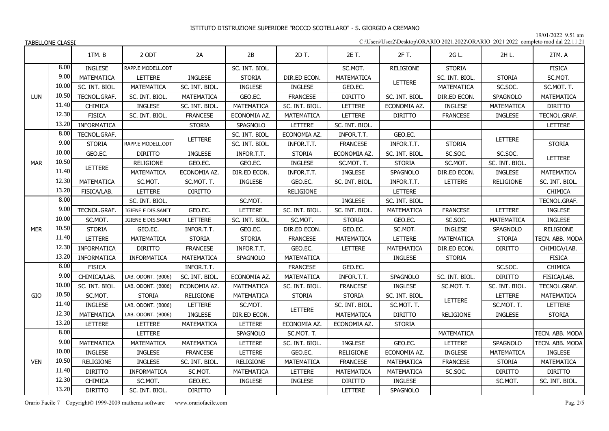19/01/2022 9.51 am

|            |       | 1TM.B             | 2 ODT              | 2A                | 2B               | 2D T.             | 2E T.             | 2F T.             | 2G L.            | 2H L.             | 2TM. A            |
|------------|-------|-------------------|--------------------|-------------------|------------------|-------------------|-------------------|-------------------|------------------|-------------------|-------------------|
|            | 8.00  | <b>INGLESE</b>    | RAPP.E MODELL.ODT  |                   | SC. INT. BIOL.   |                   | SC.MOT.           | RELIGIONE         | <b>STORIA</b>    |                   | <b>FISICA</b>     |
|            | 9.00  | MATEMATICA        | <b>LETTERE</b>     | <b>INGLESE</b>    | <b>STORIA</b>    | DIR.ED ECON.      | MATEMATICA        |                   | SC. INT. BIOL.   | <b>STORIA</b>     | SC.MOT.           |
|            | 10.00 | SC. INT. BIOL.    | MATEMATICA         | SC. INT. BIOL.    | <b>INGLESE</b>   | <b>INGLESE</b>    | GEO.EC.           | LETTERE           | MATEMATICA       | SC.SOC.           | SC.MOT. T.        |
| LUN        | 10.50 | TECNOL.GRAF.      | SC. INT. BIOL.     | MATEMATICA        | GEO.EC.          | <b>FRANCESE</b>   | <b>DIRITTO</b>    | SC. INT. BIOL.    | DIR.ED ECON.     | SPAGNOLO          | MATEMATICA        |
|            | 11.40 | CHIMICA           | INGLESE            | SC. INT. BIOL.    | MATEMATICA       | SC. INT. BIOL.    | LETTERE           | ECONOMIA AZ.      | <b>INGLESE</b>   | MATEMATICA        | <b>DIRITTO</b>    |
|            | 12.30 | <b>FISICA</b>     | SC. INT. BIOL.     | <b>FRANCESE</b>   | ECONOMIA AZ.     | MATEMATICA        | LETTERE           | <b>DIRITTO</b>    | <b>FRANCESE</b>  | <b>INGLESE</b>    | TECNOL.GRAF.      |
|            | 13.20 | INFORMATICA       |                    | <b>STORIA</b>     | SPAGNOLO         | LETTERE           | SC. INT. BIOL.    |                   |                  |                   | LETTERE           |
|            | 8.00  | TECNOL.GRAF.      |                    | LETTERE           | SC. INT. BIOL.   | ECONOMIA AZ.      | INFOR.T.T.        | GEO.EC.           |                  | <b>LETTERE</b>    |                   |
|            | 9.00  | <b>STORIA</b>     | RAPP.E MODELL.ODT  |                   | SC. INT. BIOL.   | INFOR.T.T.        | <b>FRANCESE</b>   | INFOR.T.T.        | <b>STORIA</b>    |                   | <b>STORIA</b>     |
|            | 10.00 | GEO.EC.           | <b>DIRITTO</b>     | <b>INGLESE</b>    | INFOR.T.T.       | <b>STORIA</b>     | ECONOMIA AZ.      | SC. INT. BIOL.    | SC.SOC.          | SC.SOC.           | LETTERE           |
| <b>MAR</b> | 10.50 | LETTERE           | <b>RELIGIONE</b>   | GEO.EC.           | GEO.EC.          | <b>INGLESE</b>    | SC.MOT. T.        | <b>STORIA</b>     | SC.MOT.          | SC. INT. BIOL.    |                   |
|            | 11.40 |                   | MATEMATICA         | ECONOMIA AZ.      | DIR.ED ECON.     | INFOR.T.T.        | <b>INGLESE</b>    | SPAGNOLO          | DIR.ED ECON.     | <b>INGLESE</b>    | <b>MATEMATICA</b> |
|            | 12.30 | MATEMATICA        | SC.MOT.            | SC.MOT. T.        | <b>INGLESE</b>   | GEO.EC.           | SC. INT. BIOL.    | INFOR.T.T.        | LETTERE          | <b>RELIGIONE</b>  | SC. INT. BIOL.    |
|            | 13.20 | FISICA/LAB.       | LETTERE            | <b>DIRITTO</b>    |                  | <b>RELIGIONE</b>  |                   | LETTERE           |                  |                   | CHIMICA           |
|            | 8.00  |                   | SC. INT. BIOL.     |                   | SC.MOT.          |                   | <b>INGLESE</b>    | SC. INT. BIOL.    |                  |                   | TECNOL.GRAF.      |
|            | 9.00  | TECNOL.GRAF.      | IGIENE E DIS.SANIT | GEO.EC.           | LETTERE          | SC. INT. BIOL.    | SC. INT. BIOL.    | <b>MATEMATICA</b> | <b>FRANCESE</b>  | LETTERE           | <b>INGLESE</b>    |
|            | 10.00 | SC.MOT.           | IGIENE E DIS.SANIT | LETTERE           | SC. INT. BIOL.   | SC.MOT.           | <b>STORIA</b>     | GEO.EC.           | SC.SOC.          | <b>MATEMATICA</b> | INGLESE           |
| <b>MER</b> | 10.50 | <b>STORIA</b>     | GEO.EC.            | INFOR.T.T.        | GEO.EC.          | DIR.ED ECON.      | GEO.EC.           | SC.MOT.           | <b>INGLESE</b>   | SPAGNOLO          | <b>RELIGIONE</b>  |
|            | 11.40 | LETTERE           | <b>MATEMATICA</b>  | <b>STORIA</b>     | <b>STORIA</b>    | <b>FRANCESE</b>   | <b>MATEMATICA</b> | LETTERE           | MATEMATICA       | <b>STORIA</b>     | TECN. ABB. MODA   |
|            | 12.30 | INFORMATICA       | <b>DIRITTO</b>     | <b>FRANCESE</b>   | INFOR.T.T.       | GEO.EC.           | LETTERE           | <b>MATEMATICA</b> | DIR.ED ECON.     | <b>DIRITTO</b>    | CHIMICA/LAB.      |
|            | 13.20 | INFORMATICA       | INFORMATICA        | MATEMATICA        | SPAGNOLO         | MATEMATICA        |                   | <b>INGLESE</b>    | <b>STORIA</b>    |                   | <b>FISICA</b>     |
|            | 8.00  | <b>FISICA</b>     |                    | INFOR.T.T.        |                  | <b>FRANCESE</b>   | GEO.EC.           |                   |                  | SC.SOC.           | <b>CHIMICA</b>    |
|            | 9.00  | CHIMICA/LAB.      | LAB. ODONT. (B006) | SC. INT. BIOL.    | ECONOMIA AZ.     | <b>MATEMATICA</b> | INFOR.T.T.        | SPAGNOLO          | SC. INT. BIOL.   | <b>DIRITTO</b>    | FISICA/LAB.       |
|            | 10.00 | SC. INT. BIOL.    | LAB. ODONT. (B006) | ECONOMIA AZ.      | MATEMATICA       | SC. INT. BIOL.    | <b>FRANCESE</b>   | <b>INGLESE</b>    | SC.MOT. T.       | SC. INT. BIOL.    | TECNOL.GRAF.      |
| GIO        | 10.50 | SC.MOT.           | <b>STORIA</b>      | RELIGIONE         | MATEMATICA       | <b>STORIA</b>     | <b>STORIA</b>     | SC. INT. BIOL.    | <b>LETTERE</b>   | LETTERE           | MATEMATICA        |
|            | 11.40 | <b>INGLESE</b>    | LAB. ODONT. (B006) | LETTERE           | SC.MOT.          | LETTERE           | SC. INT. BIOL.    | SC.MOT. T.        |                  | SC.MOT. T.        | LETTERE           |
|            | 12.30 | <b>MATEMATICA</b> | LAB. ODONT. (B006) | <b>INGLESE</b>    | DIR.ED ECON.     |                   | MATEMATICA        | <b>DIRITTO</b>    | <b>RELIGIONE</b> | INGLESE           | <b>STORIA</b>     |
|            | 13.20 | LETTERE           | LETTERE            | MATEMATICA        | <b>LETTERE</b>   | ECONOMIA AZ.      | ECONOMIA AZ.      | <b>STORIA</b>     |                  |                   |                   |
|            | 8.00  |                   | LETTERE            |                   | SPAGNOLO         | SC.MOT. T.        |                   |                   | MATEMATICA       |                   | TECN. ABB. MODA   |
|            | 9.00  | MATEMATICA        | MATEMATICA         | <b>MATEMATICA</b> | LETTERE          | SC. INT. BIOL.    | <b>INGLESE</b>    | GEO.EC.           | <b>LETTERE</b>   | SPAGNOLO          | TECN. ABB. MODA   |
|            | 10.00 | <b>INGLESE</b>    | <b>INGLESE</b>     | <b>FRANCESE</b>   | <b>LETTERE</b>   | GEO.EC.           | <b>RELIGIONE</b>  | ECONOMIA AZ.      | <b>INGLESE</b>   | MATEMATICA        | <b>INGLESE</b>    |
| <b>VEN</b> | 10.50 | <b>RELIGIONE</b>  | <b>INGLESE</b>     | SC. INT. BIOL.    | <b>RELIGIONE</b> | MATEMATICA        | <b>FRANCESE</b>   | MATEMATICA        | <b>FRANCESE</b>  | <b>STORIA</b>     | MATEMATICA        |
|            | 11.40 | <b>DIRITTO</b>    | INFORMATICA        | SC.MOT.           | MATEMATICA       | LETTERE           | MATEMATICA        | MATEMATICA        | SC.SOC.          | <b>DIRITTO</b>    | <b>DIRITTO</b>    |
|            | 12.30 | <b>CHIMICA</b>    | SC.MOT.            | GEO.EC.           | <b>INGLESE</b>   | <b>INGLESE</b>    | <b>DIRITTO</b>    | <b>INGLESE</b>    |                  | SC.MOT.           | SC. INT. BIOL.    |
|            | 13.20 | <b>DIRITTO</b>    | SC. INT. BIOL.     | <b>DIRITTO</b>    |                  |                   | LETTERE           | SPAGNOLO          |                  |                   |                   |

Orario Facile 7 Copyright© 1999-2009 mathema software www.orariofacile.com Pag. 2/5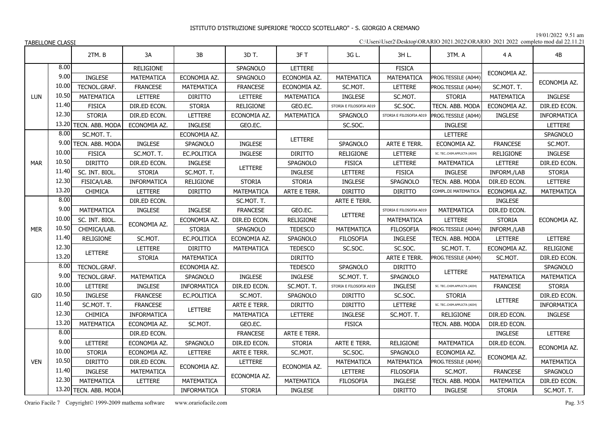19/01/2022 9.51 am

| C:\Users\User2\Desktop\ORARIO 2021.2022\ORARIO 2021 2022 completo mod dal 22.11.21 |  |  |  |
|------------------------------------------------------------------------------------|--|--|--|
|------------------------------------------------------------------------------------|--|--|--|

|            |       | 2TM.B                 | 3A                | 3B                 | 3D T.           | 3FT              | 3G L.                   | 3H L.                   | 3TM. A                      | 4 A              | 4B               |
|------------|-------|-----------------------|-------------------|--------------------|-----------------|------------------|-------------------------|-------------------------|-----------------------------|------------------|------------------|
|            | 8.00  |                       | <b>RELIGIONE</b>  |                    | SPAGNOLO        | LETTERE          |                         | <b>FISICA</b>           |                             |                  |                  |
|            | 9.00  | <b>INGLESE</b>        | MATEMATICA        | ECONOMIA AZ.       | SPAGNOLO        | ECONOMIA AZ.     | MATEMATICA              | MATEMATICA              | PROG.TESSILE (A044)         | ECONOMIA AZ.     |                  |
|            | 10.00 | TECNOL.GRAF.          | <b>FRANCESE</b>   | MATEMATICA         | <b>FRANCESE</b> | ECONOMIA AZ.     | SC.MOT.                 | LETTERE                 | PROG.TESSILE (A044)         | SC.MOT. T.       | ECONOMIA AZ.     |
| LUN        | 10.50 | MATEMATICA            | LETTERE           | <b>DIRITTO</b>     | <b>LETTERE</b>  | MATEMATICA       | INGLESE                 | SC.MOT.                 | <b>STORIA</b>               | MATEMATICA       | <b>INGLESE</b>   |
|            | 11.40 | <b>FISICA</b>         | DIR.ED ECON.      | <b>STORIA</b>      | RELIGIONE       | GEO.EC.          | STORIA E FILOSOFIA A019 | SC.SOC.                 | TECN. ABB. MODA             | ECONOMIA AZ.     | DIR.ED ECON.     |
|            | 12.30 | <b>STORIA</b>         | DIR.ED ECON.      | LETTERE            | ECONOMIA AZ.    | MATEMATICA       | <b>SPAGNOLO</b>         | STORIA E FILOSOFIA A019 | PROG.TESSILE (A044)         | <b>INGLESE</b>   | INFORMATICA      |
|            | 13.20 | TECN. ABB. MODA       | ECONOMIA AZ.      | <b>INGLESE</b>     | GEO.EC.         |                  | SC.SOC.                 |                         | <b>INGLESE</b>              |                  | LETTERE          |
|            | 8.00  | SC.MOT. T.            |                   | ECONOMIA AZ.       |                 |                  |                         |                         | LETTERE                     |                  | <b>SPAGNOLO</b>  |
|            | 9.00  | TECN. ABB. MODA       | <b>INGLESE</b>    | <b>SPAGNOLO</b>    | <b>INGLESE</b>  | <b>LETTERE</b>   | SPAGNOLO                | ARTE E TERR.            | ECONOMIA AZ.                | <b>FRANCESE</b>  | SC.MOT.          |
|            | 10.00 | <b>FISICA</b>         | SC.MOT. T.        | EC.POLITICA        | <b>INGLESE</b>  | <b>DIRITTO</b>   | RELIGIONE               | LETTERE                 | SC. TECCHIM.APPLICTA (A034) | <b>RELIGIONE</b> | <b>INGLESE</b>   |
| <b>MAR</b> | 10.50 | <b>DIRITTO</b>        | DIR.ED ECON.      | <b>INGLESE</b>     |                 | SPAGNOLO         | <b>FISICA</b>           | LETTERE                 | MATEMATICA                  | <b>LETTERE</b>   | DIR.ED ECON.     |
|            | 11.40 | SC. INT. BIOL.        | <b>STORIA</b>     | SC.MOT. T.         | <b>LETTERE</b>  | INGLESE          | LETTERE                 | <b>FISICA</b>           | <b>INGLESE</b>              | INFORM./LAB      | <b>STORIA</b>    |
|            | 12.30 | FISICA/LAB.           | INFORMATICA       | RELIGIONE          | <b>STORIA</b>   | <b>STORIA</b>    | INGLESE                 | SPAGNOLO                | TECN. ABB. MODA             | DIR.ED ECON.     | LETTERE          |
|            | 13.20 | CHIMICA               | LETTERE           | <b>DIRITTO</b>     | MATEMATICA      | ARTE E TERR.     | <b>DIRITTO</b>          | <b>DIRITTO</b>          | COMPL.DI MATEMATICA         | ECONOMIA AZ.     | MATEMATICA       |
|            | 8.00  |                       | DIR.ED ECON.      |                    | SC.MOT. T.      |                  | ARTE E TERR.            |                         |                             | <b>INGLESE</b>   |                  |
|            | 9.00  | MATEMATICA            | <b>INGLESE</b>    | <b>INGLESE</b>     | <b>FRANCESE</b> | GEO.EC.          | LETTERE                 | STORIA E FILOSOFIA A019 | MATEMATICA                  | DIR.ED ECON.     |                  |
|            | 10.00 | SC. INT. BIOL.        | ECONOMIA AZ.      | ECONOMIA AZ.       | DIR.ED ECON.    | <b>RELIGIONE</b> |                         | <b>MATEMATICA</b>       | LETTERE                     | <b>STORIA</b>    | ECONOMIA AZ.     |
| <b>MER</b> | 10.50 | CHIMICA/LAB.          |                   | <b>STORIA</b>      | SPAGNOLO        | <b>TEDESCO</b>   | MATEMATICA              | <b>FILOSOFIA</b>        | PROG.TESSILE (A044)         | INFORM./LAB      |                  |
|            | 11.40 | <b>RELIGIONE</b>      | SC.MOT.           | EC.POLITICA        | ECONOMIA AZ.    | SPAGNOLO         | <b>FILOSOFIA</b>        | <b>INGLESE</b>          | TECN. ABB. MODA             | LETTERE          | LETTERE          |
|            | 12.30 | LETTERE               | <b>LETTERE</b>    | <b>DIRITTO</b>     | MATEMATICA      | <b>TEDESCO</b>   | SC.SOC.                 | SC.SOC.                 | SC.MOT. T.                  | ECONOMIA AZ.     | <b>RELIGIONE</b> |
|            | 13.20 |                       | <b>STORIA</b>     | MATEMATICA         |                 | <b>DIRITTO</b>   |                         | ARTE E TERR.            | PROG.TESSILE (A044)         | SC.MOT.          | DIR.ED ECON.     |
|            | 8.00  | TECNOL.GRAF.          |                   | ECONOMIA AZ.       |                 | <b>TEDESCO</b>   | <b>SPAGNOLO</b>         | <b>DIRITTO</b>          | <b>LETTERE</b>              |                  | SPAGNOLO         |
|            | 9.00  | TECNOL.GRAF.          | <b>MATEMATICA</b> | SPAGNOLO           | <b>INGLESE</b>  | <b>INGLESE</b>   | SC.MOT. T.              | SPAGNOLO                |                             | MATEMATICA       | MATEMATICA       |
|            | 10.00 | <b>LETTERE</b>        | <b>INGLESE</b>    | <b>INFORMATICA</b> | DIR.ED ECON.    | SC.MOT. T.       | STORIA E FILOSOFIA A019 | <b>INGLESE</b>          | SC. TECCHIM.APPLICTA (A034) | <b>FRANCESE</b>  | <b>STORIA</b>    |
| GIO        | 10.50 | INGLESE               | <b>FRANCESE</b>   | EC.POLITICA        | SC.MOT.         | SPAGNOLO         | <b>DIRITTO</b>          | SC.SOC.                 | <b>STORIA</b>               | <b>LETTERE</b>   | DIR.ED ECON.     |
|            | 11.40 | SC.MOT. T.            | <b>FRANCESE</b>   | LETTERE            | ARTE E TERR.    | <b>DIRITTO</b>   | <b>DIRITTO</b>          | LETTERE                 | SC. TECCHIM.APPLICTA (A034) |                  | INFORMATICA      |
|            | 12.30 | CHIMICA               | INFORMATICA       |                    | MATEMATICA      | LETTERE          | INGLESE                 | SC.MOT. T.              | <b>RELIGIONE</b>            | DIR.ED ECON.     | INGLESE          |
|            | 13.20 | MATEMATICA            | ECONOMIA AZ.      | SC.MOT.            | GEO.EC.         |                  | <b>FISICA</b>           |                         | TECN. ABB. MODA             | DIR.ED ECON.     |                  |
|            | 8.00  |                       | DIR.ED ECON.      |                    | <b>FRANCESE</b> | ARTE E TERR.     |                         |                         |                             | <b>INGLESE</b>   | LETTERE          |
|            | 9.00  | LETTERE               | ECONOMIA AZ.      | SPAGNOLO           | DIR.ED ECON.    | <b>STORIA</b>    | ARTE E TERR.            | <b>RELIGIONE</b>        | MATEMATICA                  | DIR.ED ECON.     | ECONOMIA AZ.     |
|            | 10.00 | <b>STORIA</b>         | ECONOMIA AZ.      | LETTERE            | ARTE E TERR.    | SC.MOT.          | SC.SOC.                 | SPAGNOLO                | ECONOMIA AZ.                | ECONOMIA AZ.     |                  |
| <b>VEN</b> | 10.50 | <b>DIRITTO</b>        | DIR.ED ECON.      | ECONOMIA AZ.       | <b>LETTERE</b>  | ECONOMIA AZ.     | MATEMATICA              | MATEMATICA              | PROG.TESSILE (A044)         |                  | MATEMATICA       |
|            | 11.40 | INGLESE               | MATEMATICA        |                    | ECONOMIA AZ.    |                  | LETTERE                 | <b>FILOSOFIA</b>        | SC.MOT.                     | <b>FRANCESE</b>  | SPAGNOLO         |
|            | 12.30 | MATEMATICA            | LETTERE           | MATEMATICA         |                 | MATEMATICA       | <b>FILOSOFIA</b>        | <b>INGLESE</b>          | TECN. ABB. MODA             | MATEMATICA       | DIR.ED ECON.     |
|            |       | 13.20 TECN. ABB. MODA |                   | <b>INFORMATICA</b> | <b>STORIA</b>   | <b>INGLESE</b>   |                         | <b>DIRITTO</b>          | <b>INGLESE</b>              | <b>STORIA</b>    | SC.MOT. T.       |

Orario Facile 7 Copyright© 1999-2009 mathema software www.orariofacile.com Pag. 3/5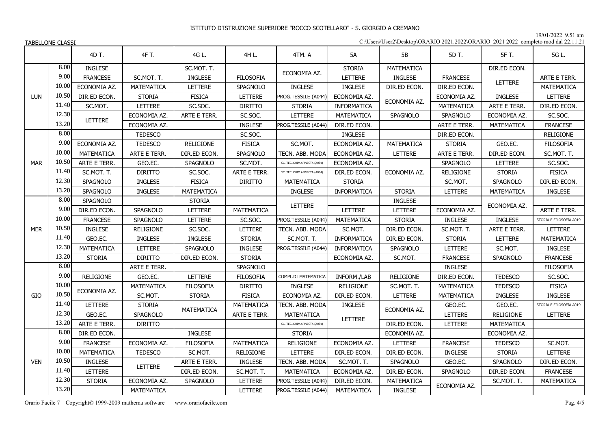19/01/2022 9.51 am

| C:\Users\User2\Desktop\ORARIO 2021.2022\ORARIO 2021 2022 completo mod dal 22.11.21 |  |  |  |
|------------------------------------------------------------------------------------|--|--|--|
|------------------------------------------------------------------------------------|--|--|--|

|            |       | 4D T.            | 4F T.             | 4G L.             | 4H L.            | 4TM. A                      | 5A                 | 5B               | 5D T.            | 5F T.             | 5G L.                   |
|------------|-------|------------------|-------------------|-------------------|------------------|-----------------------------|--------------------|------------------|------------------|-------------------|-------------------------|
|            | 8.00  | <b>INGLESE</b>   |                   | SC.MOT. T.        |                  | ECONOMIA AZ.                | <b>STORIA</b>      | MATEMATICA       |                  | DIR.ED ECON.      |                         |
|            | 9.00  | <b>FRANCESE</b>  | SC.MOT. T.        | <b>INGLESE</b>    | <b>FILOSOFIA</b> |                             | LETTERE            | <b>INGLESE</b>   | <b>FRANCESE</b>  | <b>LETTERE</b>    | ARTE E TERR.            |
|            | 10.00 | ECONOMIA AZ.     | <b>MATEMATICA</b> | LETTERE           | SPAGNOLO         | <b>INGLESE</b>              | <b>INGLESE</b>     | DIR.ED ECON.     | DIR.ED ECON.     |                   | MATEMATICA              |
| <b>LUN</b> | 10.50 | DIR.ED ECON.     | <b>STORIA</b>     | <b>FISICA</b>     | LETTERE          | PROG.TESSILE (A044)         | ECONOMIA AZ.       | ECONOMIA AZ.     | ECONOMIA AZ.     | <b>INGLESE</b>    | LETTERE                 |
|            | 11.40 | SC.MOT.          | LETTERE           | SC.SOC.           | <b>DIRITTO</b>   | <b>STORIA</b>               | <b>INFORMATICA</b> |                  | MATEMATICA       | ARTE E TERR.      | DIR.ED ECON.            |
|            | 12.30 | LETTERE          | ECONOMIA AZ.      | ARTE E TERR.      | SC.SOC.          | LETTERE                     | MATEMATICA         | <b>SPAGNOLO</b>  | SPAGNOLO         | ECONOMIA AZ.      | SC.SOC.                 |
|            | 13.20 |                  | ECONOMIA AZ.      |                   | INGLESE          | PROG.TESSILE (A044)         | DIR.ED ECON.       |                  | ARTE E TERR.     | MATEMATICA        | <b>FRANCESE</b>         |
|            | 8.00  |                  | <b>TEDESCO</b>    |                   | SC.SOC.          |                             | <b>INGLESE</b>     |                  | DIR.ED ECON.     |                   | <b>RELIGIONE</b>        |
|            | 9.00  | ECONOMIA AZ.     | <b>TEDESCO</b>    | <b>RELIGIONE</b>  | <b>FISICA</b>    | SC.MOT.                     | ECONOMIA AZ.       | MATEMATICA       | <b>STORIA</b>    | GEO.EC.           | <b>FILOSOFIA</b>        |
|            | 10.00 | MATEMATICA       | ARTE E TERR.      | DIR.ED ECON.      | SPAGNOLO         | TECN. ABB. MODA             | ECONOMIA AZ.       | LETTERE          | ARTE E TERR.     | DIR.ED ECON.      | SC.MOT. T.              |
| <b>MAR</b> | 10.50 | ARTE E TERR.     | GEO.EC.           | SPAGNOLO          | SC.MOT.          | SC. TECCHIM.APPLICTA (A034) | ECONOMIA AZ.       |                  | SPAGNOLO         | LETTERE           | SC.SOC.                 |
|            | 11.40 | SC.MOT. T.       | <b>DIRITTO</b>    | SC.SOC.           | ARTE E TERR.     | SC. TECCHIM.APPLICTA (A034) | DIR.ED ECON.       | ECONOMIA AZ.     | <b>RELIGIONE</b> | <b>STORIA</b>     | <b>FISICA</b>           |
|            | 12.30 | SPAGNOLO         | <b>INGLESE</b>    | <b>FISICA</b>     | <b>DIRITTO</b>   | MATEMATICA                  | <b>STORIA</b>      |                  | SC.MOT.          | SPAGNOLO          | DIR.ED ECON.            |
|            | 13.20 | <b>SPAGNOLO</b>  | <b>INGLESE</b>    | <b>MATEMATICA</b> |                  | <b>INGLESE</b>              | <b>INFORMATICA</b> | <b>STORIA</b>    | <b>LETTERE</b>   | <b>MATEMATICA</b> | <b>INGLESE</b>          |
|            | 8.00  | SPAGNOLO         |                   | <b>STORIA</b>     |                  | LETTERE                     |                    | <b>INGLESE</b>   |                  | ECONOMIA AZ.      |                         |
|            | 9.00  | DIR.ED ECON.     | SPAGNOLO          | LETTERE           | MATEMATICA       |                             | LETTERE            | LETTERE          | ECONOMIA AZ.     |                   | ARTE E TERR.            |
|            | 10.00 | <b>FRANCESE</b>  | SPAGNOLO          | LETTERE           | SC.SOC.          | PROG.TESSILE (A044)         | MATEMATICA         | <b>STORIA</b>    | <b>INGLESE</b>   | <b>INGLESE</b>    | STORIA E FILOSOFIA A019 |
| <b>MER</b> | 10.50 | <b>INGLESE</b>   | <b>RELIGIONE</b>  | SC.SOC.           | LETTERE          | TECN. ABB. MODA             | SC.MOT.            | DIR.ED ECON.     | SC.MOT. T.       | ARTE E TERR.      | LETTERE                 |
|            | 11.40 | GEO.EC.          | <b>INGLESE</b>    | <b>INGLESE</b>    | <b>STORIA</b>    | SC.MOT. T.                  | INFORMATICA        | DIR.ED ECON.     | <b>STORIA</b>    | <b>LETTERE</b>    | MATEMATICA              |
|            | 12.30 | MATEMATICA       | LETTERE           | SPAGNOLO          | INGLESE          | PROG.TESSILE (A044)         | INFORMATICA        | SPAGNOLO         | LETTERE          | SC.MOT.           | INGLESE                 |
|            | 13.20 | <b>STORIA</b>    | <b>DIRITTO</b>    | DIR.ED ECON.      | <b>STORIA</b>    |                             | ECONOMIA AZ.       | SC.MOT.          | <b>FRANCESE</b>  | SPAGNOLO          | <b>FRANCESE</b>         |
|            | 8.00  |                  | ARTE E TERR.      |                   | SPAGNOLO         |                             |                    |                  | <b>INGLESE</b>   |                   | <b>FILOSOFIA</b>        |
|            | 9.00  | <b>RELIGIONE</b> | GEO.EC.           | <b>LETTERE</b>    | <b>FILOSOFIA</b> | COMPL.DI MATEMATICA         | INFORM./LAB        | <b>RELIGIONE</b> | DIR.ED ECON.     | <b>TEDESCO</b>    | SC.SOC.                 |
|            | 10.00 | ECONOMIA AZ.     | MATEMATICA        | <b>FILOSOFIA</b>  | <b>DIRITTO</b>   | INGLESE                     | <b>RELIGIONE</b>   | SC.MOT. T.       | MATEMATICA       | <b>TEDESCO</b>    | <b>FISICA</b>           |
| GIO        | 10.50 |                  | SC.MOT.           | <b>STORIA</b>     | <b>FISICA</b>    | ECONOMIA AZ.                | DIR.ED ECON.       | LETTERE          | MATEMATICA       | <b>INGLESE</b>    | <b>INGLESE</b>          |
|            | 11.40 | LETTERE          | <b>STORIA</b>     | <b>MATEMATICA</b> | MATEMATICA       | TECN. ABB. MODA             | <b>INGLESE</b>     | ECONOMIA AZ.     | GEO.EC.          | GEO.EC.           | STORIA E FILOSOFIA A019 |
|            | 12.30 | GEO.EC.          | SPAGNOLO          |                   | ARTE E TERR.     | MATEMATICA                  | <b>LETTERE</b>     |                  | LETTERE          | RELIGIONE         | LETTERE                 |
|            | 13.20 | ARTE E TERR.     | <b>DIRITTO</b>    |                   |                  | SC. TECCHIM.APPLICTA (A034) |                    | DIR.ED ECON.     | LETTERE          | MATEMATICA        |                         |
|            | 8.00  | DIR.ED ECON.     |                   | INGLESE           |                  | <b>STORIA</b>               |                    | ECONOMIA AZ.     |                  | ECONOMIA AZ.      |                         |
|            | 9.00  | <b>FRANCESE</b>  | ECONOMIA AZ.      | <b>FILOSOFIA</b>  | MATEMATICA       | <b>RELIGIONE</b>            | ECONOMIA AZ.       | LETTERE          | <b>FRANCESE</b>  | <b>TEDESCO</b>    | SC.MOT.                 |
|            | 10.00 | MATEMATICA       | <b>TEDESCO</b>    | SC.MOT.           | RELIGIONE        | LETTERE                     | DIR.ED ECON.       | DIR.ED ECON.     | <b>INGLESE</b>   | <b>STORIA</b>     | LETTERE                 |
| <b>VEN</b> | 10.50 | <b>INGLESE</b>   | <b>LETTERE</b>    | ARTE E TERR.      | <b>INGLESE</b>   | TECN. ABB. MODA             | SC.MOT. T.         | <b>SPAGNOLO</b>  | GEO.EC.          | SPAGNOLO          | DIR.ED ECON.            |
|            | 11.40 | LETTERE          |                   | DIR.ED ECON.      | SC.MOT. T.       | MATEMATICA                  | ECONOMIA AZ.       | DIR.ED ECON.     | SPAGNOLO         | DIR.ED ECON.      | <b>FRANCESE</b>         |
|            | 12.30 | <b>STORIA</b>    | ECONOMIA AZ.      | SPAGNOLO          | <b>LETTERE</b>   | PROG.TESSILE (A044)         | DIR.ED ECON.       | MATEMATICA       | ECONOMIA AZ.     | SC.MOT. T.        | <b>MATEMATICA</b>       |
|            | 13.20 |                  | <b>MATEMATICA</b> |                   | <b>LETTERE</b>   | PROG.TESSILE (A044)         | MATEMATICA         | <b>INGLESE</b>   |                  |                   |                         |